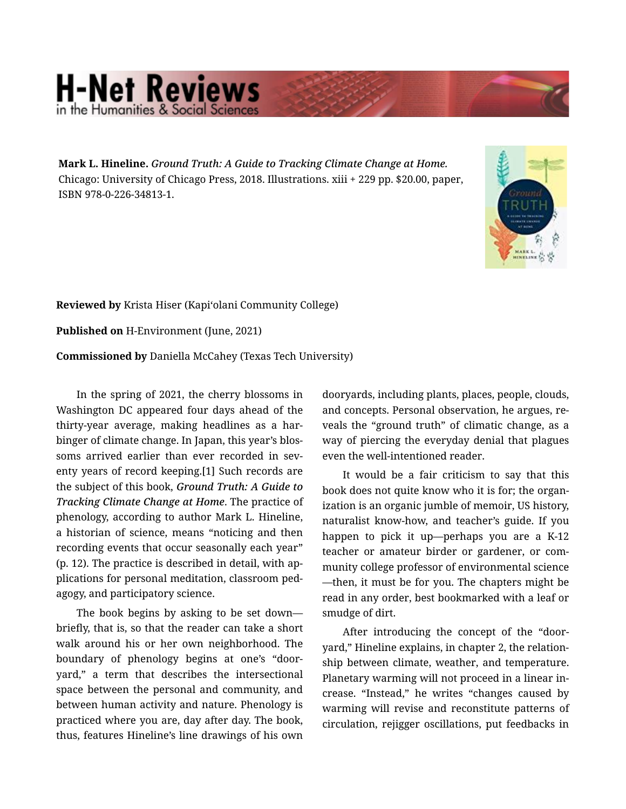## **H-Net Reviews** in the Humanities & Social S

Mark L. Hineline. *Ground Truth: A Guide to Tracking Climate Change at Home.*  Chicago: University of Chicago Press, 2018. Illustrations. xiii + 229 pp. \$20.00, paper, ISBN 978-0-226-34813-1.



Reviewed by Krista Hiser (Kapiʻolani Community College)

Published on H-Environment (June, 2021)

Commissioned by Daniella McCahey (Texas Tech University)

In the spring of 2021, the cherry blossoms in Washington DC appeared four days ahead of the thirty-year average, making headlines as a har‐ binger of climate change. In Japan, this year's blos‐ soms arrived earlier than ever recorded in seventy years of record keeping.[1] Such records are the subject of this book, *Ground Truth: A Guide to Tracking Climate Change at Home*. The practice of phenology, according to author Mark L. Hineline, a historian of science, means "noticing and then recording events that occur seasonally each year" (p. 12). The practice is described in detail, with ap‐ plications for personal meditation, classroom ped‐ agogy, and participatory science.

The book begins by asking to be set down briefly, that is, so that the reader can take a short walk around his or her own neighborhood. The boundary of phenology begins at one's "door‐ yard," a term that describes the intersectional space between the personal and community, and between human activity and nature. Phenology is practiced where you are, day after day. The book, thus, features Hineline's line drawings of his own

dooryards, including plants, places, people, clouds, and concepts. Personal observation, he argues, re‐ veals the "ground truth" of climatic change, as a way of piercing the everyday denial that plagues even the well-intentioned reader.

It would be a fair criticism to say that this book does not quite know who it is for; the organ‐ ization is an organic jumble of memoir, US history, naturalist know-how, and teacher's guide. If you happen to pick it up—perhaps you are a K-12 teacher or amateur birder or gardener, or com‐ munity college professor of environmental science —then, it must be for you. The chapters might be read in any order, best bookmarked with a leaf or smudge of dirt.

After introducing the concept of the "door‐ yard," Hineline explains, in chapter 2, the relation‐ ship between climate, weather, and temperature. Planetary warming will not proceed in a linear in‐ crease. "Instead," he writes "changes caused by warming will revise and reconstitute patterns of circulation, rejigger oscillations, put feedbacks in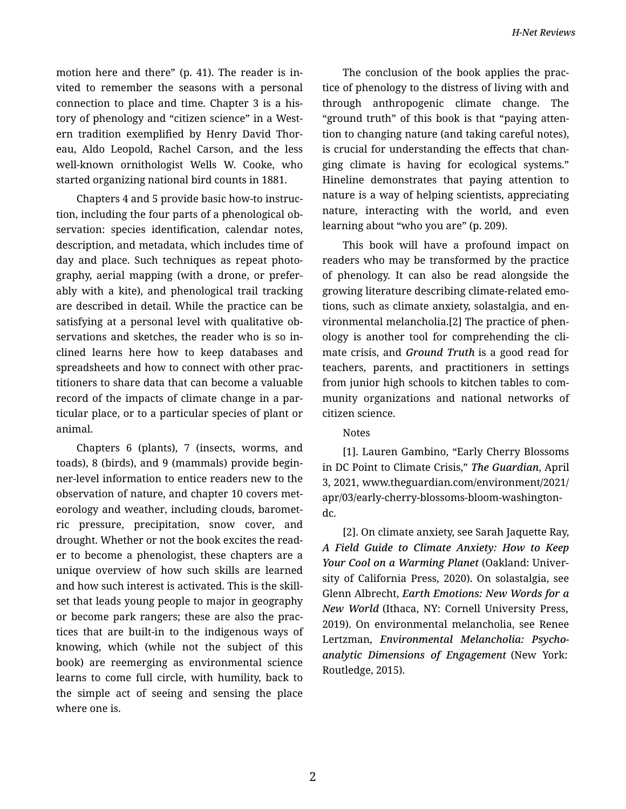motion here and there" (p. 41). The reader is in‐ vited to remember the seasons with a personal connection to place and time. Chapter 3 is a his‐ tory of phenology and "citizen science" in a West‐ ern tradition exemplified by Henry David Thor‐ eau, Aldo Leopold, Rachel Carson, and the less well-known ornithologist Wells W. Cooke, who started organizing national bird counts in 1881.

Chapters 4 and 5 provide basic how-to instruc‐ tion, including the four parts of a phenological ob‐ servation: species identification, calendar notes, description, and metadata, which includes time of day and place. Such techniques as repeat photo‐ graphy, aerial mapping (with a drone, or prefer‐ ably with a kite), and phenological trail tracking are described in detail. While the practice can be satisfying at a personal level with qualitative ob‐ servations and sketches, the reader who is so in‐ clined learns here how to keep databases and spreadsheets and how to connect with other prac‐ titioners to share data that can become a valuable record of the impacts of climate change in a par‐ ticular place, or to a particular species of plant or animal.

Chapters 6 (plants), 7 (insects, worms, and toads), 8 (birds), and 9 (mammals) provide begin‐ ner-level information to entice readers new to the observation of nature, and chapter 10 covers met‐ eorology and weather, including clouds, baromet‐ ric pressure, precipitation, snow cover, and drought. Whether or not the book excites the read‐ er to become a phenologist, these chapters are a unique overview of how such skills are learned and how such interest is activated. This is the skill‐ set that leads young people to major in geography or become park rangers; these are also the prac‐ tices that are built-in to the indigenous ways of knowing, which (while not the subject of this book) are reemerging as environmental science learns to come full circle, with humility, back to the simple act of seeing and sensing the place where one is.

The conclusion of the book applies the prac‐ tice of phenology to the distress of living with and through anthropogenic climate change. The "ground truth" of this book is that "paying atten‐ tion to changing nature (and taking careful notes), is crucial for understanding the effects that changing climate is having for ecological systems." Hineline demonstrates that paying attention to nature is a way of helping scientists, appreciating nature, interacting with the world, and even learning about "who you are" (p. 209).

This book will have a profound impact on readers who may be transformed by the practice of phenology. It can also be read alongside the growing literature describing climate-related emo‐ tions, such as climate anxiety, solastalgia, and en‐ vironmental melancholia.[2] The practice of phen‐ ology is another tool for comprehending the cli‐ mate crisis, and *Ground Truth* is a good read for teachers, parents, and practitioners in settings from junior high schools to kitchen tables to com‐ munity organizations and national networks of citizen science.

## Notes

[1]. Lauren Gambino, "Early Cherry Blossoms in DC Point to Climate Crisis," *The Guardian*, April 3, 2021, www.theguardian.com/environment/2021/ apr/03/early-cherry-blossoms-bloom-washingtondc.

[2]. On climate anxiety, see Sarah Jaquette Ray, *A Field Guide to Climate Anxiety: How to Keep Your Cool on a Warming Planet* (Oakland: Univer‐ sity of California Press, 2020). On solastalgia, see Glenn Albrecht, *Earth Emotions: New Words for a New World* (Ithaca, NY: Cornell University Press, 2019). On environmental melancholia, see Renee Lertzman, *Environmental Melancholia: Psycho‐ analytic Dimensions of Engagement* (New York: Routledge, 2015).